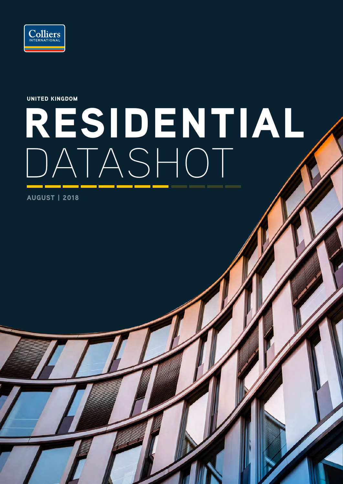

UNITED KINGDOM

# RESIDENTIAL DATASHOT

AUGUST | 2018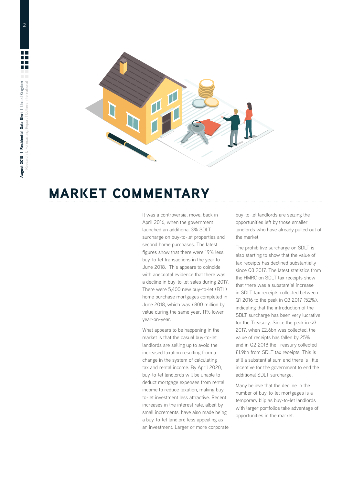

## MARKET COMMENTARY

It was a controversial move, back in April 2016, when the government launched an additional 3% SDLT surcharge on buy-to-let properties and second home purchases. The latest figures show that there were 19% less buy-to-let transactions in the year to June 2018. This appears to coincide with anecdotal evidence that there was a decline in buy-to-let sales during 2017. There were 5,400 new buy-to-let (BTL) home purchase mortgages completed in June 2018, which was £800 million by value during the same year, 11% lower year-on-year.

What appears to be happening in the market is that the casual buy-to-let landlords are selling up to avoid the increased taxation resulting from a change in the system of calculating tax and rental income. By April 2020, buy-to-let landlords will be unable to deduct mortgage expenses from rental income to reduce taxation, making buyto-let investment less attractive. Recent increases in the interest rate, albeit by small increments, have also made being a buy-to-let landlord less appealing as an investment. Larger or more corporate buy-to-let landlords are seizing the opportunities left by those smaller landlords who have already pulled out of the market.

The prohibitive surcharge on SDLT is also starting to show that the value of tax receipts has declined substantially since Q3 2017. The latest statistics from the HMRC on SDLT tax receipts show that there was a substantial increase in SDLT tax receipts collected between Q1 2016 to the peak in Q3 2017 (52%), indicating that the introduction of the SDLT surcharge has been very lucrative for the Treasury. Since the peak in Q3 2017, when £2.6bn was collected, the value of receipts has fallen by 25% and in Q2 2018 the Treasury collected £1.9bn from SDLT tax receipts. This is still a substantial sum and there is little incentive for the government to end the additional SDLT surcharge.

Many believe that the decline in the number of buy-to-let mortgages is a temporary blip as buy-to-let landlords with larger portfolios take advantage of opportunities in the market.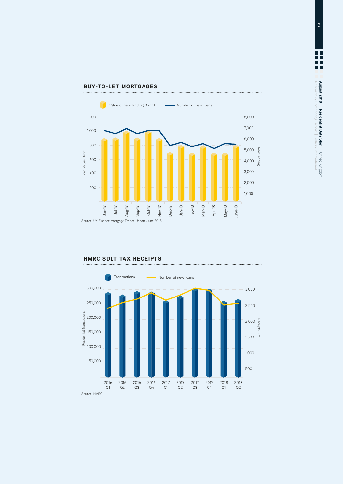

### BUY-TO-LET MORTGAGES



200

400

600

Loan Values (£mn)

Loan Values (£mn)

800

1,000

1,200



## HMRC SDLT TAX RECEIPTS